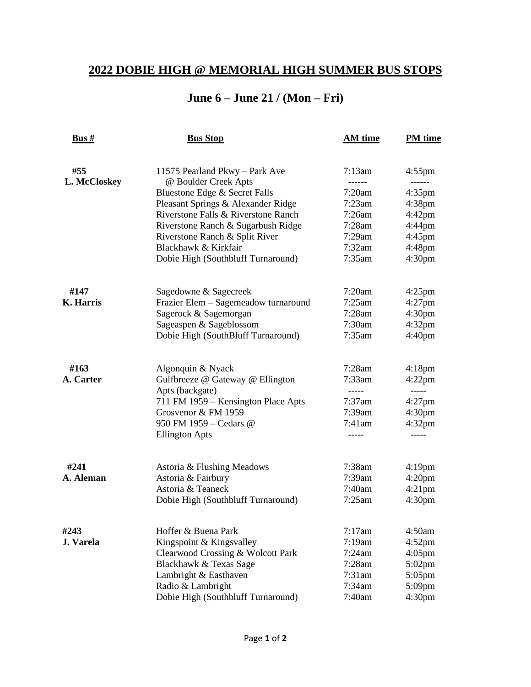## **2022 DOBIE HIGH @ MEMORIAL HIGH SUMMER BUS STOPS**

## **June 6 – June 21 / (Mon – Fri)**

| <u>Bus #</u>     | <b>Bus Stop</b>                      | AM time   | <b>PM</b> time     |
|------------------|--------------------------------------|-----------|--------------------|
| #55              | 11575 Pearland Pkwy - Park Ave       | 7:13am    | $4:55$ pm          |
| L. McCloskey     | @ Boulder Creek Apts                 | ------    | ------             |
|                  | Bluestone Edge & Secret Falls        | 7:20am    | $4:35$ pm          |
|                  | Pleasant Springs & Alexander Ridge   | 7:23am    | $4:38$ pm          |
|                  | Riverstone Falls & Riverstone Ranch  | $7:26$ am | $4:42$ pm          |
|                  | Riverstone Ranch & Sugarbush Ridge   | $7:28$ am | $4:44$ pm          |
|                  | Riverstone Ranch & Split River       | $7:29$ am | 4:45pm             |
|                  | Blackhawk & Kirkfair                 | 7:32am    | $4:48$ pm          |
|                  | Dobie High (Southbluff Turnaround)   | 7:35am    | 4:30 <sub>pm</sub> |
| #147             | Sagedowne & Sagecreek                | 7:20am    | $4:25$ pm          |
| <b>K.</b> Harris | Frazier Elem - Sagemeadow turnaround | 7:25am    | $4:27$ pm          |
|                  | Sagerock & Sagemorgan                | $7:28$ am | 4:30 <sub>pm</sub> |
|                  | Sageaspen & Sageblossom              | 7:30am    | $4:32$ pm          |
|                  | Dobie High (SouthBluff Turnaround)   | 7:35am    | 4:40 <sub>pm</sub> |
| #163             | Algonquin & Nyack                    | $7:28$ am | $4:18$ pm          |
| A. Carter        | Gulfbreeze @ Gateway @ Ellington     | 7:33am    | $4:22$ pm          |
|                  | Apts (backgate)                      | -----     | $- - - - -$        |
|                  | 711 FM 1959 - Kensington Place Apts  | $7:37$ am | $4:27$ pm          |
|                  | Grosvenor & FM 1959                  | 7:39am    | 4:30 <sub>pm</sub> |
|                  | 950 FM 1959 - Cedars @               | 7:41am    | $4:32$ pm          |
|                  | <b>Ellington Apts</b>                | -----     |                    |
| #241             | Astoria & Flushing Meadows           | 7:38am    | $4:19$ pm          |
| A. Aleman        | Astoria & Fairbury                   | 7:39am    | 4:20 <sub>pm</sub> |
|                  | Astoria & Teaneck                    | 7:40am    | $4:21$ pm          |
|                  | Dobie High (Southbluff Turnaround)   | 7:25am    | 4:30 <sub>pm</sub> |
| #243             | Hoffer & Buena Park                  | 7:17am    | 4:50am             |
| J. Varela        | Kingspoint & Kingsvalley             | 7:19am    | $4:52$ pm          |
|                  | Clearwood Crossing & Wolcott Park    | 7:24am    | $4:05$ pm          |
|                  | Blackhawk & Texas Sage               | $7:28$ am | $5:02$ pm          |
|                  | Lambright & Easthaven                | $7:31$ am | $5:05$ pm          |
|                  | Radio & Lambright                    | 7:34am    | $5:09$ pm          |
|                  | Dobie High (Southbluff Turnaround)   | 7:40am    | 4:30 <sub>pm</sub> |
|                  |                                      |           |                    |